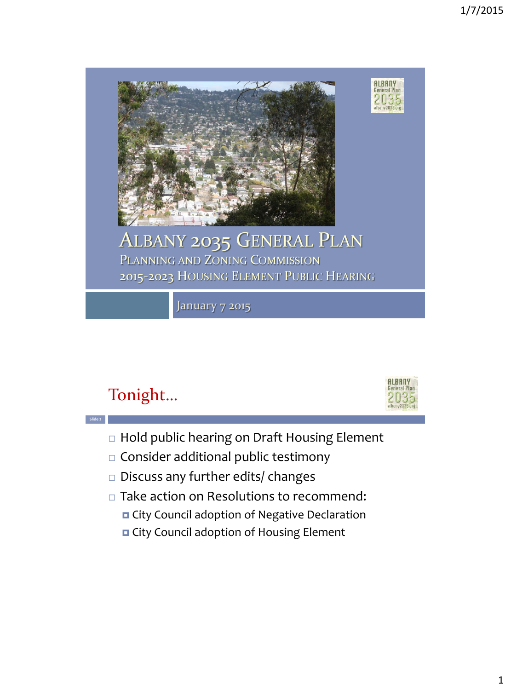

## Tonight…

**Slide 2**



- □ Hold public hearing on Draft Housing Element
- $\square$  Consider additional public testimony
- □ Discuss any further edits/ changes
- □ Take action on Resolutions to recommend:
	- City Council adoption of Negative Declaration
	- **D** City Council adoption of Housing Element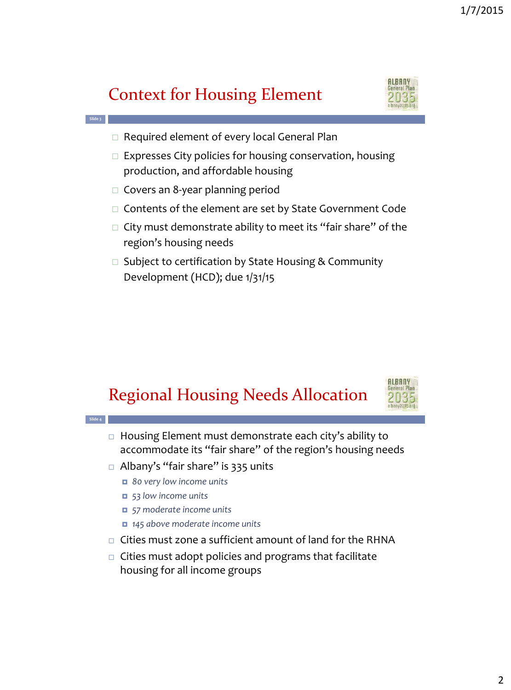## Context for Housing Element



- $\Box$  Required element of every local General Plan
- $\Box$  Expresses City policies for housing conservation, housing production, and affordable housing
- $\square$  Covers an 8-year planning period

**Slide 3**

**Slide 4**

- $\Box$  Contents of the element are set by State Government Code
- $\Box$  City must demonstrate ability to meet its "fair share" of the region's housing needs
- $\Box$  Subject to certification by State Housing & Community Development (HCD); due 1/31/15





- □ Housing Element must demonstrate each city's ability to accommodate its "fair share" of the region's housing needs
- $\Box$  Albany's "fair share" is 335 units
	- *80 very low income units*
	- *53 low income units*
	- *57 moderate income units*
	- *145 above moderate income units*
- □ Cities must zone a sufficient amount of land for the RHNA
- $\Box$  Cities must adopt policies and programs that facilitate housing for all income groups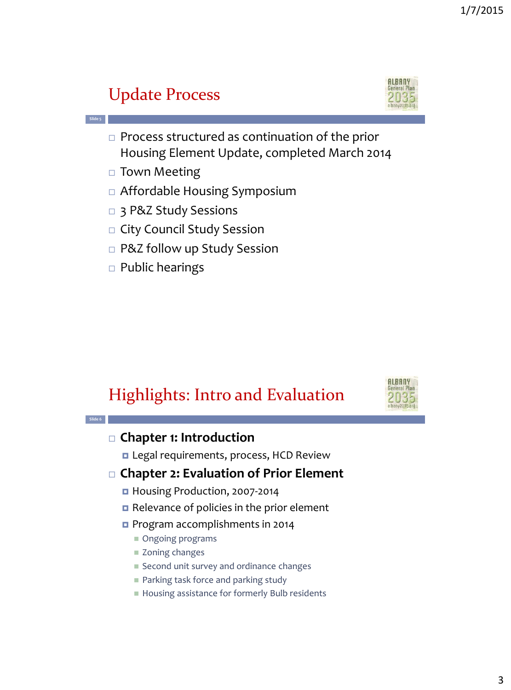## Update Process



 $\Box$  Process structured as continuation of the prior Housing Element Update, completed March 2014

□ Town Meeting

**Slide 5**

- Affordable Housing Symposium
- □ 3 P&Z Study Sessions
- □ City Council Study Session
- □ P&Z follow up Study Session
- $\Box$  Public hearings

### Highlights: Intro and Evaluation



#### **Slide 6 Chapter 1: Introduction** Legal requirements, process, HCD Review **Chapter 2: Evaluation of Prior Element** ■ Housing Production, 2007-2014 Relevance of policies in the prior element **Program accomplishments in 2014** Ongoing programs ■ Zoning changes Second unit survey and ordinance changes **Parking task force and parking study**

■ Housing assistance for formerly Bulb residents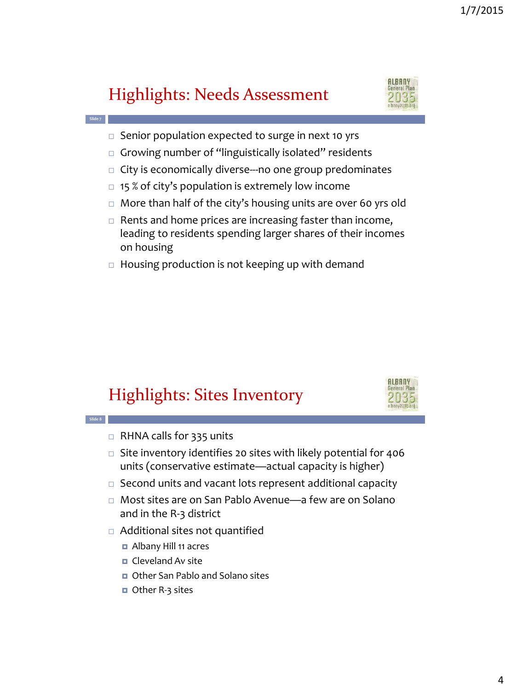## Highlights: Needs Assessment

**Slide 7**

**Slide 8**

- $\Box$  Senior population expected to surge in next 10 yrs
- $\Box$  Growing number of "linguistically isolated" residents
- $\Box$  City is economically diverse—no one group predominates
- $\Box$  15 % of city's population is extremely low income
- More than half of the city's housing units are over 60 yrs old
- $\Box$  Rents and home prices are increasing faster than income, leading to residents spending larger shares of their incomes on housing
- $\Box$  Housing production is not keeping up with demand

## Highlights: Sites Inventory



- $\Box$  Site inventory identifies 20 sites with likely potential for 406 units (conservative estimate—actual capacity is higher)
- $\Box$  Second units and vacant lots represent additional capacity
- Most sites are on San Pablo Avenue—a few are on Solano and in the R-3 district
- Additional sites not quantified
	- Albany Hill 11 acres
	- $\Box$  Cleveland Av site
	- Other San Pablo and Solano sites
	- Other R-3 sites



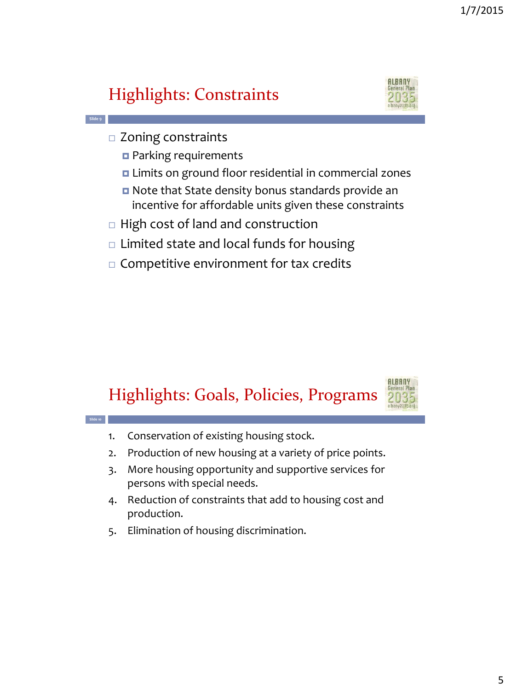## Highlights: Constraints



□ Zoning constraints

**Slide 9**

**Slide 10**

- **Parking requirements**
- Limits on ground floor residential in commercial zones
- Note that State density bonus standards provide an incentive for affordable units given these constraints
- $\Box$  High cost of land and construction
- $\Box$  Limited state and local funds for housing
- $\Box$  Competitive environment for tax credits

## Highlights: Goals, Policies, Programs



- 1. Conservation of existing housing stock.
- 2. Production of new housing at a variety of price points.
- 3. More housing opportunity and supportive services for persons with special needs.
- 4. Reduction of constraints that add to housing cost and production.
- 5. Elimination of housing discrimination.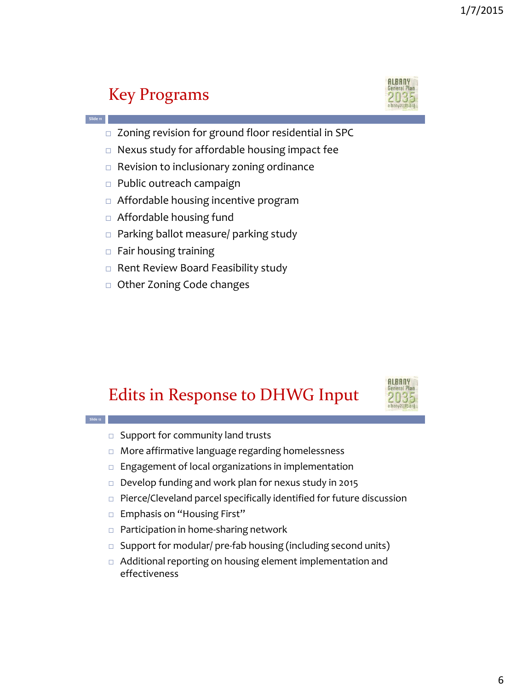### Key Programs

**Slide 11**

**Slide 12**



- □ Zoning revision for ground floor residential in SPC
- □ Nexus study for affordable housing impact fee
- □ Revision to inclusionary zoning ordinance
- $\Box$  Public outreach campaign
- Affordable housing incentive program
- □ Affordable housing fund
- □ Parking ballot measure/ parking study
- $\Box$  Fair housing training
- $\Box$  Rent Review Board Feasibility study
- □ Other Zoning Code changes

### Edits in Response to DHWG Input



- $\square$  Support for community land trusts
- More affirmative language regarding homelessness
- $\Box$  Engagement of local organizations in implementation
- Develop funding and work plan for nexus study in 2015
- $\Box$  Pierce/Cleveland parcel specifically identified for future discussion
- □ Emphasis on "Housing First"
- □ Participation in home-sharing network
- $\Box$  Support for modular/ pre-fab housing (including second units)
- Additional reporting on housing element implementation and effectiveness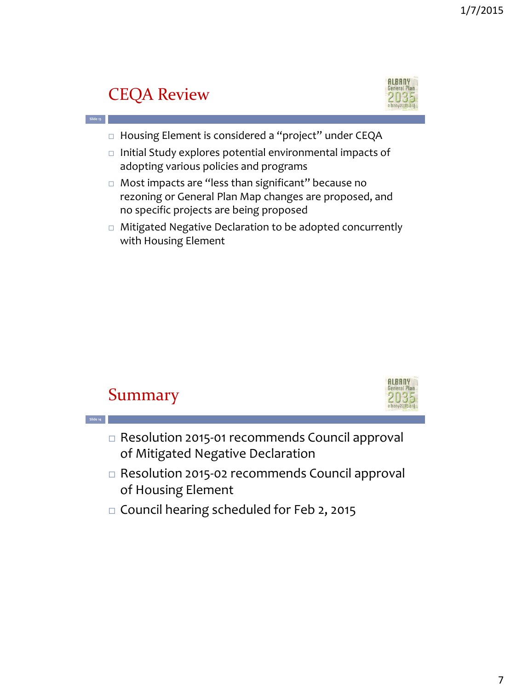#### **ALBANY** General Pla CEQA Review **Slide 13** □ Housing Element is considered a "project" under CEQA  $\Box$  Initial Study explores potential environmental impacts of adopting various policies and programs □ Most impacts are "less than significant" because no rezoning or General Plan Map changes are proposed, and no specific projects are being proposed □ Mitigated Negative Declaration to be adopted concurrently with Housing Element

#### Summary

**Slide 14**



- □ Resolution 2015-01 recommends Council approval of Mitigated Negative Declaration
- Resolution 2015-02 recommends Council approval of Housing Element
- □ Council hearing scheduled for Feb 2, 2015